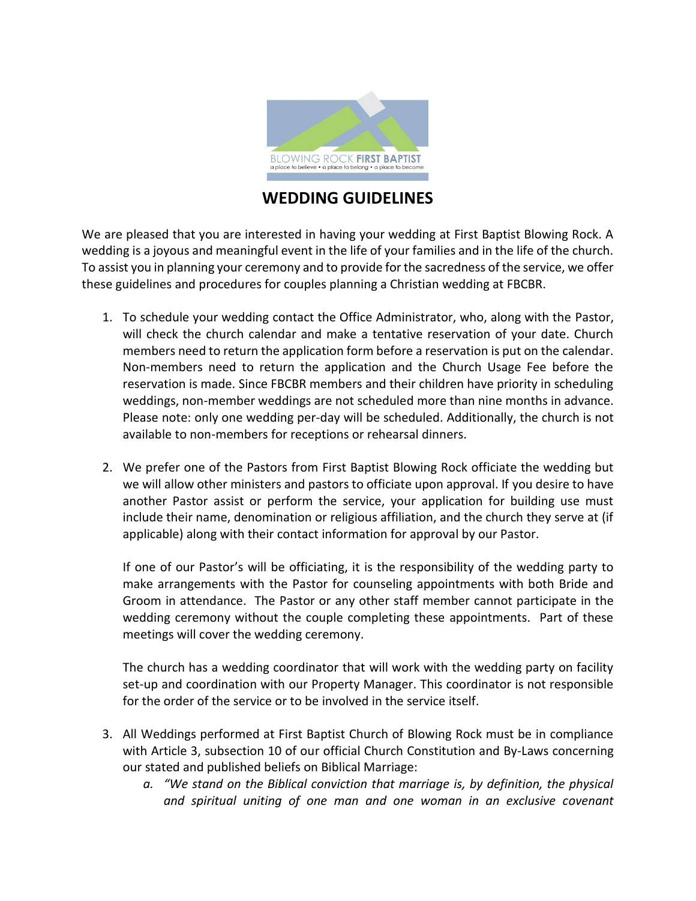

## **WEDDING GUIDELINES**

We are pleased that you are interested in having your wedding at First Baptist Blowing Rock. A wedding is a joyous and meaningful event in the life of your families and in the life of the church. To assist you in planning your ceremony and to provide for the sacredness of the service, we offer these guidelines and procedures for couples planning a Christian wedding at FBCBR.

- 1. To schedule your wedding contact the Office Administrator, who, along with the Pastor, will check the church calendar and make a tentative reservation of your date. Church members need to return the application form before a reservation is put on the calendar. Non-members need to return the application and the Church Usage Fee before the reservation is made. Since FBCBR members and their children have priority in scheduling weddings, non-member weddings are not scheduled more than nine months in advance. Please note: only one wedding per-day will be scheduled. Additionally, the church is not available to non-members for receptions or rehearsal dinners.
- 2. We prefer one of the Pastors from First Baptist Blowing Rock officiate the wedding but we will allow other ministers and pastors to officiate upon approval. If you desire to have another Pastor assist or perform the service, your application for building use must include their name, denomination or religious affiliation, and the church they serve at (if applicable) along with their contact information for approval by our Pastor.

If one of our Pastor's will be officiating, it is the responsibility of the wedding party to make arrangements with the Pastor for counseling appointments with both Bride and Groom in attendance. The Pastor or any other staff member cannot participate in the wedding ceremony without the couple completing these appointments. Part of these meetings will cover the wedding ceremony.

The church has a wedding coordinator that will work with the wedding party on facility set-up and coordination with our Property Manager. This coordinator is not responsible for the order of the service or to be involved in the service itself.

- 3. All Weddings performed at First Baptist Church of Blowing Rock must be in compliance with Article 3, subsection 10 of our official Church Constitution and By-Laws concerning our stated and published beliefs on Biblical Marriage:
	- *a. "We stand on the Biblical conviction that marriage is, by definition, the physical and spiritual uniting of one man and one woman in an exclusive covenant*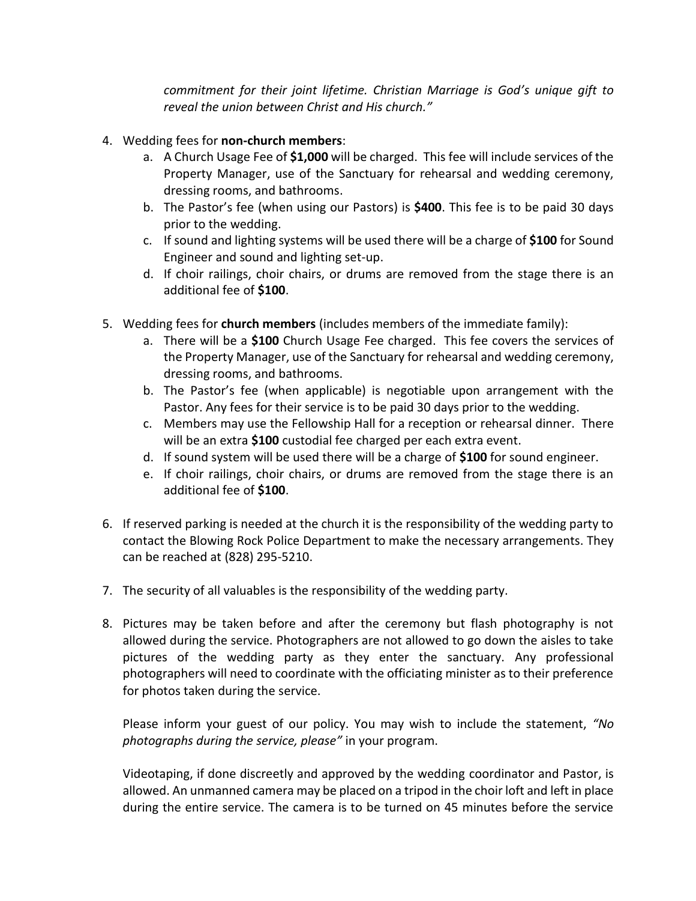*commitment for their joint lifetime. Christian Marriage is God's unique gift to reveal the union between Christ and His church."*

- 4. Wedding fees for **non-church members**:
	- a. A Church Usage Fee of **\$1,000** will be charged. This fee will include services of the Property Manager, use of the Sanctuary for rehearsal and wedding ceremony, dressing rooms, and bathrooms.
	- b. The Pastor's fee (when using our Pastors) is **\$400**. This fee is to be paid 30 days prior to the wedding.
	- c. If sound and lighting systems will be used there will be a charge of **\$100** for Sound Engineer and sound and lighting set-up.
	- d. If choir railings, choir chairs, or drums are removed from the stage there is an additional fee of **\$100**.
- 5. Wedding fees for **church members** (includes members of the immediate family):
	- a. There will be a **\$100** Church Usage Fee charged. This fee covers the services of the Property Manager, use of the Sanctuary for rehearsal and wedding ceremony, dressing rooms, and bathrooms.
	- b. The Pastor's fee (when applicable) is negotiable upon arrangement with the Pastor. Any fees for their service is to be paid 30 days prior to the wedding.
	- c. Members may use the Fellowship Hall for a reception or rehearsal dinner. There will be an extra **\$100** custodial fee charged per each extra event.
	- d. If sound system will be used there will be a charge of **\$100** for sound engineer.
	- e. If choir railings, choir chairs, or drums are removed from the stage there is an additional fee of **\$100**.
- 6. If reserved parking is needed at the church it is the responsibility of the wedding party to contact the Blowing Rock Police Department to make the necessary arrangements. They can be reached at (828) 295-5210.
- 7. The security of all valuables is the responsibility of the wedding party.
- 8. Pictures may be taken before and after the ceremony but flash photography is not allowed during the service. Photographers are not allowed to go down the aisles to take pictures of the wedding party as they enter the sanctuary. Any professional photographers will need to coordinate with the officiating minister as to their preference for photos taken during the service.

Please inform your guest of our policy. You may wish to include the statement, *"No photographs during the service, please"* in your program.

Videotaping, if done discreetly and approved by the wedding coordinator and Pastor, is allowed. An unmanned camera may be placed on a tripod in the choir loft and left in place during the entire service. The camera is to be turned on 45 minutes before the service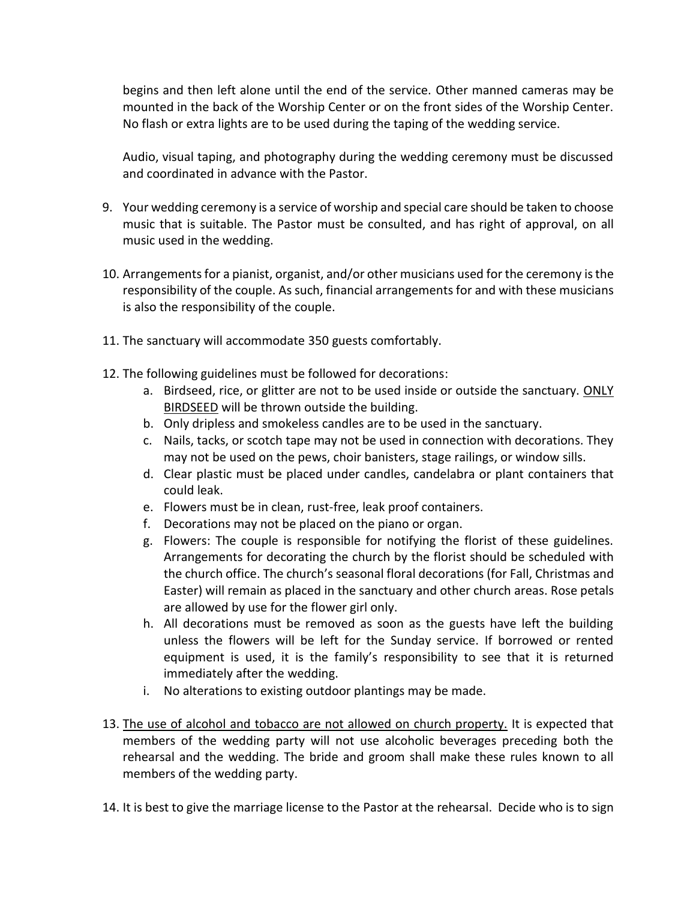begins and then left alone until the end of the service. Other manned cameras may be mounted in the back of the Worship Center or on the front sides of the Worship Center. No flash or extra lights are to be used during the taping of the wedding service.

Audio, visual taping, and photography during the wedding ceremony must be discussed and coordinated in advance with the Pastor.

- 9. Your wedding ceremony is a service of worship and special care should be taken to choose music that is suitable. The Pastor must be consulted, and has right of approval, on all music used in the wedding.
- 10. Arrangements for a pianist, organist, and/or other musicians used for the ceremony is the responsibility of the couple. As such, financial arrangements for and with these musicians is also the responsibility of the couple.
- 11. The sanctuary will accommodate 350 guests comfortably.
- 12. The following guidelines must be followed for decorations:
	- a. Birdseed, rice, or glitter are not to be used inside or outside the sanctuary. ONLY BIRDSEED will be thrown outside the building.
	- b. Only dripless and smokeless candles are to be used in the sanctuary.
	- c. Nails, tacks, or scotch tape may not be used in connection with decorations. They may not be used on the pews, choir banisters, stage railings, or window sills.
	- d. Clear plastic must be placed under candles, candelabra or plant containers that could leak.
	- e. Flowers must be in clean, rust-free, leak proof containers.
	- f. Decorations may not be placed on the piano or organ.
	- g. Flowers: The couple is responsible for notifying the florist of these guidelines. Arrangements for decorating the church by the florist should be scheduled with the church office. The church's seasonal floral decorations (for Fall, Christmas and Easter) will remain as placed in the sanctuary and other church areas. Rose petals are allowed by use for the flower girl only.
	- h. All decorations must be removed as soon as the guests have left the building unless the flowers will be left for the Sunday service. If borrowed or rented equipment is used, it is the family's responsibility to see that it is returned immediately after the wedding.
	- i. No alterations to existing outdoor plantings may be made.
- 13. The use of alcohol and tobacco are not allowed on church property. It is expected that members of the wedding party will not use alcoholic beverages preceding both the rehearsal and the wedding. The bride and groom shall make these rules known to all members of the wedding party.
- 14. It is best to give the marriage license to the Pastor at the rehearsal. Decide who is to sign